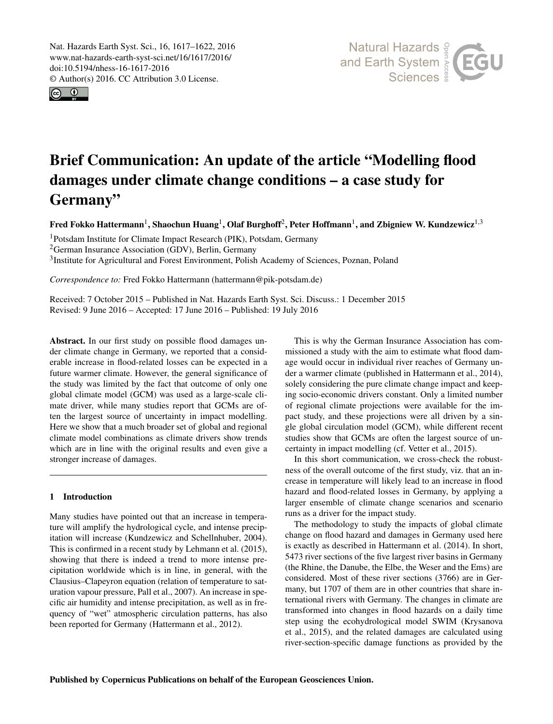<span id="page-0-1"></span>Nat. Hazards Earth Syst. Sci., 16, 1617–1622, 2016 www.nat-hazards-earth-syst-sci.net/16/1617/2016/ doi:10.5194/nhess-16-1617-2016 © Author(s) 2016. CC Attribution 3.0 License.





# Brief Communication: An update of the article "Modelling flood damages under climate change conditions – a case study for Germany"

Fred Fokko Hattermann $^1$  $^1$ , Shaochun Huang $^1$ , Olaf Burghoff $^2$  $^2$ , Peter Hoffmann $^1$ , and Zbigniew W. Kundzewicz $^{1,3}$  $^{1,3}$  $^{1,3}$ 

<sup>1</sup>Potsdam Institute for Climate Impact Research (PIK), Potsdam, Germany

<sup>2</sup>German Insurance Association (GDV), Berlin, Germany

<sup>3</sup>Institute for Agricultural and Forest Environment, Polish Academy of Sciences, Poznan, Poland

*Correspondence to:* Fred Fokko Hattermann (hattermann@pik-potsdam.de)

Received: 7 October 2015 – Published in Nat. Hazards Earth Syst. Sci. Discuss.: 1 December 2015 Revised: 9 June 2016 – Accepted: 17 June 2016 – Published: 19 July 2016

<span id="page-0-0"></span>Abstract. In our first study on possible flood damages under climate change in Germany, we reported that a considerable increase in flood-related losses can be expected in a future warmer climate. However, the general significance of the study was limited by the fact that outcome of only one global climate model (GCM) was used as a large-scale climate driver, while many studies report that GCMs are often the largest source of uncertainty in impact modelling. Here we show that a much broader set of global and regional climate model combinations as climate drivers show trends which are in line with the original results and even give a stronger increase of damages.

#### 1 Introduction

Many studies have pointed out that an increase in temperature will amplify the hydrological cycle, and intense precipitation will increase [\(Kundzewicz and Schellnhuber,](#page-5-0) [2004\)](#page-5-0). This is confirmed in a recent study by [Lehmann et al.](#page-5-1) [\(2015\)](#page-5-1), showing that there is indeed a trend to more intense precipitation worldwide which is in line, in general, with the Clausius–Clapeyron equation (relation of temperature to saturation vapour pressure, [Pall et al.,](#page-5-2) [2007\)](#page-5-2). An increase in specific air humidity and intense precipitation, as well as in frequency of "wet" atmospheric circulation patterns, has also been reported for Germany [\(Hattermann et al.,](#page-5-3) [2012\)](#page-5-3).

This is why the German Insurance Association has commissioned a study with the aim to estimate what flood damage would occur in individual river reaches of Germany under a warmer climate (published in [Hattermann et al.,](#page-5-4) [2014\)](#page-5-4), solely considering the pure climate change impact and keeping socio-economic drivers constant. Only a limited number of regional climate projections were available for the impact study, and these projections were all driven by a single global circulation model (GCM), while different recent studies show that GCMs are often the largest source of uncertainty in impact modelling (cf. [Vetter et al.,](#page-5-5) [2015\)](#page-5-5).

In this short communication, we cross-check the robustness of the overall outcome of the first study, viz. that an increase in temperature will likely lead to an increase in flood hazard and flood-related losses in Germany, by applying a larger ensemble of climate change scenarios and scenario runs as a driver for the impact study.

The methodology to study the impacts of global climate change on flood hazard and damages in Germany used here is exactly as described in [Hattermann et al.](#page-5-4) [\(2014\)](#page-5-4). In short, 5473 river sections of the five largest river basins in Germany (the Rhine, the Danube, the Elbe, the Weser and the Ems) are considered. Most of these river sections (3766) are in Germany, but 1707 of them are in other countries that share international rivers with Germany. The changes in climate are transformed into changes in flood hazards on a daily time step using the ecohydrological model SWIM [\(Krysanova](#page-5-6) [et al.,](#page-5-6) [2015\)](#page-5-6), and the related damages are calculated using river-section-specific damage functions as provided by the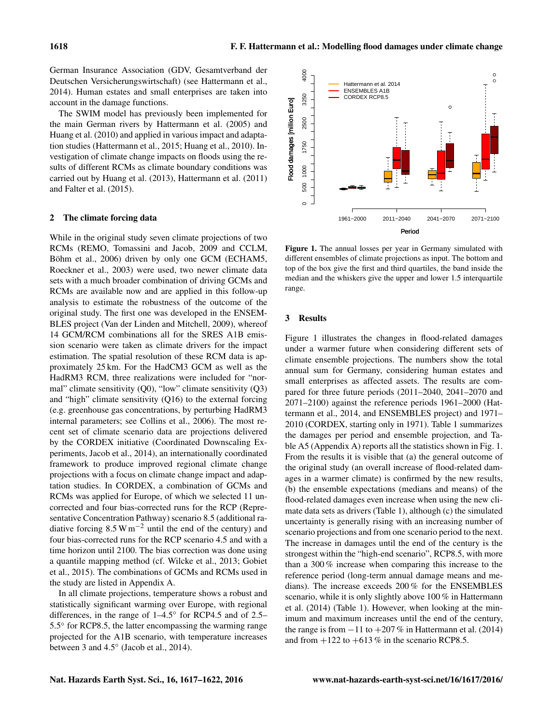German Insurance Association (GDV, Gesamtverband der Deutschen Versicherungswirtschaft) (see [Hattermann et al.,](#page-5-4) [2014\)](#page-5-4). Human estates and small enterprises are taken into account in the damage functions.

The SWIM model has previously been implemented for the main German rivers by [Hattermann et al.](#page-5-7) [\(2005\)](#page-5-7) and [Huang et al.](#page-5-8) [\(2010\)](#page-5-8) and applied in various impact and adaptation studies [\(Hattermann et al.,](#page-5-9) [2015;](#page-5-9) [Huang et al.,](#page-5-8) [2010\)](#page-5-8). Investigation of climate change impacts on floods using the results of different RCMs as climate boundary conditions was carried out by [Huang et al.](#page-5-10) [\(2013\)](#page-5-10), [Hattermann et al.](#page-5-11) [\(2011\)](#page-5-11) and [Falter et al.](#page-5-12) [\(2015\)](#page-5-12).

#### 2 The climate forcing data

While in the original study seven climate projections of two RCMs (REMO, [Tomassini and Jacob,](#page-5-13) [2009](#page-5-13) and CCLM, [Böhm et al.,](#page-5-14) [2006\)](#page-5-14) driven by only one GCM (ECHAM5, [Roeckner et al.,](#page-5-15) [2003\)](#page-5-15) were used, two newer climate data sets with a much broader combination of driving GCMs and RCMs are available now and are applied in this follow-up analysis to estimate the robustness of the outcome of the original study. The first one was developed in the ENSEM-BLES project [\(Van der Linden and Mitchell,](#page-5-16) [2009\)](#page-5-16), whereof 14 GCM/RCM combinations all for the SRES A1B emission scenario were taken as climate drivers for the impact estimation. The spatial resolution of these RCM data is approximately 25 km. For the HadCM3 GCM as well as the HadRM3 RCM, three realizations were included for "normal" climate sensitivity (Q0), "low" climate sensitivity (Q3) and "high" climate sensitivity (Q16) to the external forcing (e.g. greenhouse gas concentrations, by perturbing HadRM3 internal parameters; see [Collins et al.,](#page-5-17) [2006\)](#page-5-17). The most recent set of climate scenario data are projections delivered by the CORDEX initiative (Coordinated Downscaling Experiments, [Jacob et al.,](#page-5-18) [2014\)](#page-5-18), an internationally coordinated framework to produce improved regional climate change projections with a focus on climate change impact and adaptation studies. In CORDEX, a combination of GCMs and RCMs was applied for Europe, of which we selected 11 uncorrected and four bias-corrected runs for the RCP (Representative Concentration Pathway) scenario 8.5 (additional radiative forcing  $8.5 W \text{m}^{-2}$  until the end of the century) and four bias-corrected runs for the RCP scenario 4.5 and with a time horizon until 2100. The bias correction was done using a quantile mapping method (cf. [Wilcke et al.,](#page-5-19) [2013;](#page-5-19) [Gobiet](#page-5-20) [et al.,](#page-5-20) [2015\)](#page-5-20). The combinations of GCMs and RCMs used in the study are listed in Appendix A.

In all climate projections, temperature shows a robust and statistically significant warming over Europe, with regional differences, in the range of 1–4.5◦ for RCP4.5 and of 2.5– 5.5<sup>°</sup> for RCP8.5, the latter encompassing the warming range projected for the A1B scenario, with temperature increases between 3 and 4.5◦ [\(Jacob et al.,](#page-5-18) [2014\)](#page-5-18).

<span id="page-1-0"></span>

Figure 1. The annual losses per year in Germany simulated with different ensembles of climate projections as input. The bottom and top of the box give the first and third quartiles, the band inside the median and the whiskers give the upper and lower 1.5 interquartile range.

#### 3 Results

Figure [1](#page-1-0) illustrates the changes in flood-related damages under a warmer future when considering different sets of climate ensemble projections. The numbers show the total annual sum for Germany, considering human estates and small enterprises as affected assets. The results are compared for three future periods (2011–2040, 2041–2070 and 2071–2100) against the reference periods 1961–2000 [\(Hat](#page-5-4)[termann et al.,](#page-5-4) [2014,](#page-5-4) and ENSEMBLES project) and 1971– 2010 (CORDEX, starting only in 1971). Table [1](#page-2-0) summarizes the damages per period and ensemble projection, and Table [A5](#page-4-0) (Appendix A) reports all the statistics shown in Fig. [1.](#page-1-0) From the results it is visible that (a) the general outcome of the original study (an overall increase of flood-related damages in a warmer climate) is confirmed by the new results, (b) the ensemble expectations (medians and means) of the flood-related damages even increase when using the new climate data sets as drivers (Table [1\)](#page-2-0), although (c) the simulated uncertainty is generally rising with an increasing number of scenario projections and from one scenario period to the next. The increase in damages until the end of the century is the strongest within the "high-end scenario", RCP8.5, with more than a 300 % increase when comparing this increase to the reference period (long-term annual damage means and medians). The increase exceeds 200 % for the ENSEMBLES scenario, while it is only slightly above 100 % in [Hattermann](#page-5-4) [et al.](#page-5-4) [\(2014\)](#page-5-4) (Table [1\)](#page-2-0). However, when looking at the minimum and maximum increases until the end of the century, the range is from  $-11$  to  $+207\%$  in [Hattermann et al.](#page-5-4) [\(2014\)](#page-5-4) and from  $+122$  to  $+613\%$  in the scenario RCP8.5.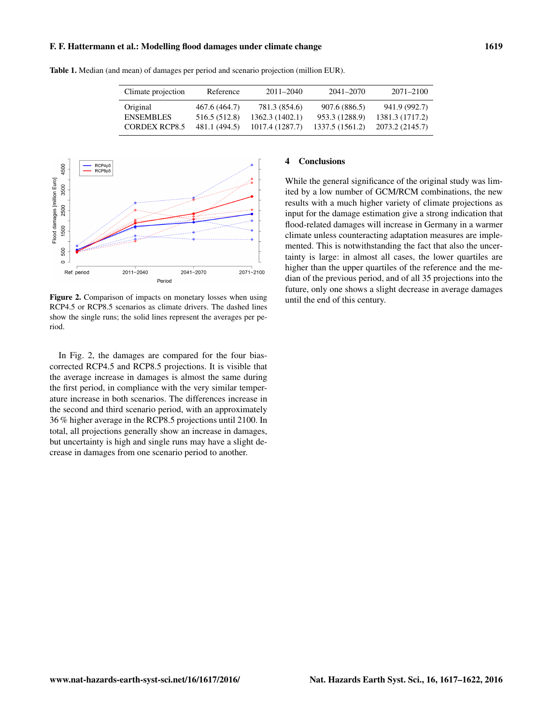#### F. F. Hattermann et al.: Modelling flood damages under climate change 1619

| Climate projection   | Reference     | $2011 - 2040$   | 2041-2070       | $2071 - 2100$   |
|----------------------|---------------|-----------------|-----------------|-----------------|
| Original             | 467.6 (464.7) | 781.3 (854.6)   | 907.6 (886.5)   | 941.9 (992.7)   |
| <b>ENSEMBLES</b>     | 516.5 (512.8) | 1362.3(1402.1)  | 953.3 (1288.9)  | 1381.3 (1717.2) |
| <b>CORDEX RCP8.5</b> | 481.1 (494.5) | 1017.4 (1287.7) | 1337.5 (1561.2) | 2073.2 (2145.7) |

<span id="page-2-0"></span>Table 1. Median (and mean) of damages per period and scenario projection (million EUR).

<span id="page-2-1"></span>

Figure 2. Comparison of impacts on monetary losses when using RCP4.5 or RCP8.5 scenarios as climate drivers. The dashed lines show the single runs; the solid lines represent the averages per period.

In Fig. [2,](#page-2-1) the damages are compared for the four biascorrected RCP4.5 and RCP8.5 projections. It is visible that the average increase in damages is almost the same during the first period, in compliance with the very similar temperature increase in both scenarios. The differences increase in the second and third scenario period, with an approximately 36 % higher average in the RCP8.5 projections until 2100. In total, all projections generally show an increase in damages, but uncertainty is high and single runs may have a slight decrease in damages from one scenario period to another.

## 4 Conclusions

While the general significance of the original study was limited by a low number of GCM/RCM combinations, the new results with a much higher variety of climate projections as input for the damage estimation give a strong indication that flood-related damages will increase in Germany in a warmer climate unless counteracting adaptation measures are implemented. This is notwithstanding the fact that also the uncertainty is large: in almost all cases, the lower quartiles are higher than the upper quartiles of the reference and the median of the previous period, and of all 35 projections into the future, only one shows a slight decrease in average damages until the end of this century.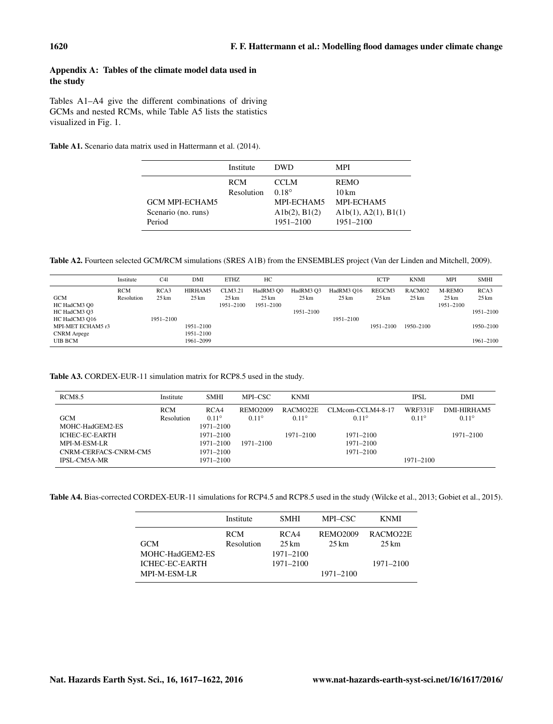## Appendix A: Tables of the climate model data used in the study

Tables [A1](#page-3-0)[–A4](#page-3-1) give the different combinations of driving GCMs and nested RCMs, while Table [A5](#page-4-0) lists the statistics visualized in Fig. [1.](#page-1-0)

<span id="page-3-0"></span>Table A1. Scenario data matrix used in [Hattermann et al.](#page-5-4) [\(2014\)](#page-5-4).

|                                                        | Institute                | <b>DWD</b>                                                                | MPI                                                                                  |
|--------------------------------------------------------|--------------------------|---------------------------------------------------------------------------|--------------------------------------------------------------------------------------|
| <b>GCM MPI-ECHAM5</b><br>Scenario (no. runs)<br>Period | <b>RCM</b><br>Resolution | <b>CCLM</b><br>$0.18^{\circ}$<br>MPI-ECHAM5<br>Alb(2), B1(2)<br>1951-2100 | <b>REMO</b><br>$10 \,\mathrm{km}$<br>MPI-ECHAM5<br>Alb(1), A2(1), B1(1)<br>1951-2100 |

Table A2. Fourteen selected GCM/RCM simulations (SRES A1B) from the ENSEMBLES project [\(Van der Linden and Mitchell,](#page-5-16) [2009\)](#page-5-16).

|                    | Institute  | C41             | DMI             | <b>ETHZ</b>     | HC               |                 |                 | <b>ICTP</b>      | <b>KNMI</b>        | <b>MPI</b>      | <b>SMHI</b>     |
|--------------------|------------|-----------------|-----------------|-----------------|------------------|-----------------|-----------------|------------------|--------------------|-----------------|-----------------|
|                    | <b>RCM</b> | RCA3            | HIRHAM5         | CLM3.21         | HadRM3 Q0        | HadRM3 Q3       | HadRM3 Q16      | REGCM3           | RACMO <sub>2</sub> | M-REMO          | RCA3            |
| <b>GCM</b>         | Resolution | $25 \text{ km}$ | $25 \text{ km}$ | $25 \text{ km}$ | $25 \mathrm{km}$ | $25 \text{ km}$ | $25 \text{ km}$ | $25 \mathrm{km}$ | $25 \text{ km}$    | $25 \text{ km}$ | $25 \text{ km}$ |
| HC HadCM3 Q0       |            |                 |                 | 1951-2100       | 1951-2100        |                 |                 |                  |                    | 1951-2100       |                 |
| HC HadCM3 Q3       |            |                 |                 |                 |                  | 1951-2100       |                 |                  |                    |                 | 1951-2100       |
| HC HadCM3 Q16      |            | 1951-2100       |                 |                 |                  |                 | 1951-2100       |                  |                    |                 |                 |
| MPI-MET ECHAM5 r3  |            |                 | 1951–2100       |                 |                  |                 |                 | 1951-2100        | 1950–2100          |                 | 1950-2100       |
| <b>CNRM</b> Arpege |            |                 | 1951–2100       |                 |                  |                 |                 |                  |                    |                 |                 |
| UIB BCM            |            |                 | 1961-2099       |                 |                  |                 |                 |                  |                    |                 | 1961-2100       |

Table A3. CORDEX-EUR-11 simulation matrix for RCP8.5 used in the study.

| <b>RCM8.5</b>         | Institute         | <b>SMHI</b>    | MPI-CSC         | <b>KNMI</b>          |                   | <b>IPSL</b>    | DMI            |
|-----------------------|-------------------|----------------|-----------------|----------------------|-------------------|----------------|----------------|
|                       | <b>RCM</b>        | RCA4           | <b>REMO2009</b> | RACMO <sub>22E</sub> | CLMcom-CCLM4-8-17 | <b>WRF331F</b> | DMI-HIRHAM5    |
| <b>GCM</b>            | <b>Resolution</b> | $0.11^{\circ}$ | $0.11^{\circ}$  | $0.11^{\circ}$       | $0.11^{\circ}$    | $0.11^{\circ}$ | $0.11^{\circ}$ |
| MOHC-HadGEM2-ES       |                   | $1971 - 2100$  |                 |                      |                   |                |                |
| <b>ICHEC-EC-EARTH</b> |                   | $1971 - 2100$  |                 | $1971 - 2100$        | 1971-2100         |                | $1971 - 2100$  |
| <b>MPI-M-ESM-LR</b>   |                   | $1971 - 2100$  | 1971–2100       |                      | 1971-2100         |                |                |
| CNRM-CERFACS-CNRM-CM5 |                   | $1971 - 2100$  |                 |                      | 1971-2100         |                |                |
| <b>IPSL-CM5A-MR</b>   |                   | $1971 - 2100$  |                 |                      |                   | 1971-2100      |                |

<span id="page-3-1"></span>Table A4. Bias-corrected CORDEX-EUR-11 simulations for RCP4.5 and RCP8.5 used in the study [\(Wilcke et al.,](#page-5-19) [2013;](#page-5-19) [Gobiet et al.,](#page-5-20) [2015\)](#page-5-20).

|                     | Institute  | <b>SMHI</b> | MPI-CSC         | <b>KNMI</b>          |
|---------------------|------------|-------------|-----------------|----------------------|
|                     | <b>RCM</b> | RCA4        | <b>REMO2009</b> | RACMO <sub>22E</sub> |
| <b>GCM</b>          | Resolution | 25 km       | 25 km           | 25 km                |
| MOHC-HadGEM2-ES     |            | 1971-2100   |                 |                      |
| ICHEC-EC-EARTH      |            | 1971-2100   |                 | 1971-2100            |
| <b>MPI-M-ESM-LR</b> |            |             | 1971-2100       |                      |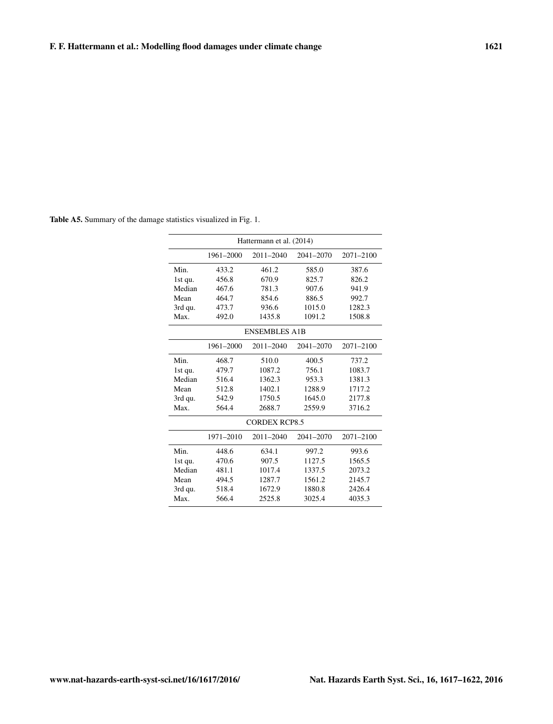| Hattermann et al. (2014) |           |           |           |           |  |  |  |
|--------------------------|-----------|-----------|-----------|-----------|--|--|--|
|                          | 1961-2000 | 2011-2040 | 2041-2070 | 2071-2100 |  |  |  |
| Min.                     | 433.2     | 461.2     | 585.0     | 387.6     |  |  |  |
| 1st qu.                  | 456.8     | 670.9     | 825.7     | 826.2     |  |  |  |
| Median                   | 467.6     | 781.3     | 907.6     | 941.9     |  |  |  |
| Mean                     | 464.7     | 854.6     | 886.5     | 992.7     |  |  |  |
| 3rd qu.                  | 473.7     | 936.6     | 1015.0    | 1282.3    |  |  |  |
| Max.                     | 492.0     | 1435.8    | 1091.2    | 1508.8    |  |  |  |
| <b>ENSEMBLES A1B</b>     |           |           |           |           |  |  |  |
|                          | 1961-2000 | 2011-2040 | 2041-2070 | 2071-2100 |  |  |  |
| Min.                     | 468.7     | 510.0     | 400.5     | 737.2     |  |  |  |
| 1st qu.                  | 479.7     | 1087.2    | 756.1     | 1083.7    |  |  |  |
| Median                   | 516.4     | 1362.3    | 953.3     | 1381.3    |  |  |  |
| Mean                     | 512.8     | 1402.1    | 1288.9    | 1717.2    |  |  |  |
| 3rd qu.                  | 542.9     | 1750.5    | 1645.0    | 2177.8    |  |  |  |
| Max.                     | 564.4     | 2688.7    | 2559.9    | 3716.2    |  |  |  |
| <b>CORDEX RCP8.5</b>     |           |           |           |           |  |  |  |
|                          | 1971-2010 | 2011-2040 | 2041-2070 | 2071-2100 |  |  |  |
| Min.                     | 448.6     | 634.1     | 997.2     | 993.6     |  |  |  |
| 1st qu.                  | 470.6     | 907.5     | 1127.5    | 1565.5    |  |  |  |
| Median                   | 481.1     | 1017.4    | 1337.5    | 2073.2    |  |  |  |
| Mean                     | 494.5     | 1287.7    | 1561.2    | 2145.7    |  |  |  |
| 3rd qu.                  | 518.4     | 1672.9    | 1880.8    | 2426.4    |  |  |  |
| Max.                     | 566.4     | 2525.8    | 3025.4    | 4035.3    |  |  |  |

<span id="page-4-0"></span>Table A5. Summary of the damage statistics visualized in Fig. 1.